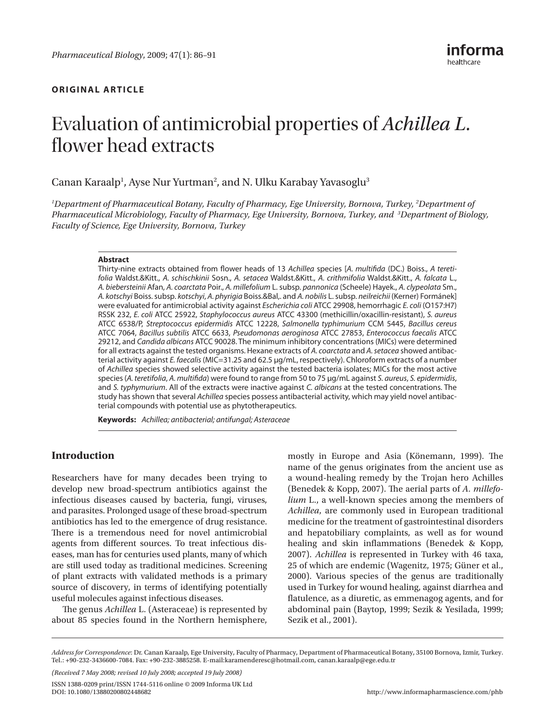# **original Article**

# Evaluation of antimicrobial properties of *Achillea L.* flower head extracts

Canan Karaalp<sup>1</sup>, Ayse Nur Yurtman<sup>2</sup>, and N. Ulku Karabay Yavasoglu<sup>3</sup>

*1 Department of Pharmaceutical Botany, Faculty of Pharmacy, Ege University, Bornova, Turkey, 2 Department of Pharmaceutical Microbiology, Faculty of Pharmacy, Ege University, Bornova, Turkey, and 3 Department of Biology, Faculty of Science, Ege University, Bornova, Turkey*

## **Abstract**

Thirty-nine extracts obtained from flower heads of 13 *Achillea* species [*A. multifida* (DC.) Boiss., *A teretifolia* Waldst.&Kitt., *A. schischkinii* Sosn., *A. setacea* Waldst.&Kitt., *A. crithmifolia* Waldst.&Kitt., *A. falcata* L., *A. biebersteinii* Afan, *A. coarctata* Poir., *A. millefolium* L. subsp. *pannonica* (Scheele) Hayek., *A. clypeolata* Sm., *A. kotschyi* Boiss. subsp. *kotschyi*, *A. phyrigia* Boiss.&Bal,. and *A. nobilis* L. subsp. *neilreichii* (Kerner) Formánek] were evaluated for antimicrobial activity against *Escherichia coli* ATCC 29908, hemorrhagic *E. coli* (O157:H7) RSSK 232, *E. coli* ATCC 25922, *Staphylococcus aureus* ATCC 43300 (methicillin/oxacillin-resistant), *S. aureus* ATCC 6538/P, *Streptococcus epidermidis* ATCC 12228, *Salmonella typhimurium* CCM 5445, *Bacillus cereus* ATCC 7064, *Bacillus subtilis* ATCC 6633, *Pseudomonas aeroginosa* ATCC 27853, *Enterococcus faecalis* ATCC 29212, and *Candida albicans* ATCC 90028. The minimum inhibitory concentrations (MICs) were determined for all extracts against the tested organisms. Hexane extracts of *A. coarctata* and *A. setacea* showed antibacterial activity against *E. faecalis* (MIC=31.25 and 62.5 μg/mL, respectively). Chloroform extracts of a number of *Achillea* species showed selective activity against the tested bacteria isolates; MICs for the most active species (*A. teretifolia*, *A. multifida*) were found to range from 50 to 75 μg/mL against *S. aureus*, *S. epidermidis*, and *S. typhymurium*. All of the extracts were inactive against *C. albicans* at the tested concentrations. The study has shown that several *Achillea* species possess antibacterial activity, which may yield novel antibacterial compounds with potential use as phytotherapeutics.

**Keywords:** *Achillea; antibacterial; antifungal; Asteraceae*

# **Introduction**

Researchers have for many decades been trying to develop new broad-spectrum antibiotics against the infectious diseases caused by bacteria, fungi, viruses, and parasites. Prolonged usage of these broad-spectrum antibiotics has led to the emergence of drug resistance. There is a tremendous need for novel antimicrobial agents from different sources. To treat infectious diseases, man has for centuries used plants, many of which are still used today as traditional medicines. Screening of plant extracts with validated methods is a primary source of discovery, in terms of identifying potentially useful molecules against infectious diseases.

The genus *Achillea* L. (Asteraceae) is represented by about 85 species found in the Northern hemisphere,

mostly in Europe and Asia (Könemann, 1999). The name of the genus originates from the ancient use as a wound-healing remedy by the Trojan hero Achilles (Benedek & Kopp, 2007). The aerial parts of *A. millefolium* L., a well-known species among the members of *Achillea*, are commonly used in European traditional medicine for the treatment of gastrointestinal disorders and hepatobiliary complaints, as well as for wound healing and skin inflammations (Benedek & Kopp, 2007). *Achillea* is represented in Turkey with 46 taxa, 25 of which are endemic (Wagenitz, 1975; Güner et al., 2000). Various species of the genus are traditionally used in Turkey for wound healing, against diarrhea and flatulence, as a diuretic, as emmenagog agents, and for abdominal pain (Baytop, 1999; Sezik & Yesilada, 1999; Sezik et al., 2001).

*(Received 7 May 2008; revised 10 July 2008; accepted 19 July 2008)*

ISSN 1388-0209 print/ISSN 1744-5116 online © 2009 Informa UK Ltd DOI: [10.1080/13880200802448682](http://www.informa.com/doifinder/10.1080/13880200802448682)

*Address for Correspondence*: Dr. Canan Karaalp, Ege University, Faculty of Pharmacy, Department of Pharmaceutical Botany, 35100 Bornova, Izmir, Turkey. Tel.: +90-232-3436600-7084. Fax: +90-232-3885258. E-mail:[karamenderesc@hotmail.com, canan.karaalp@ege.edu.tr](mailto:karamenderesc@hotmail.com, canan.karaalp@ege.edu.tr)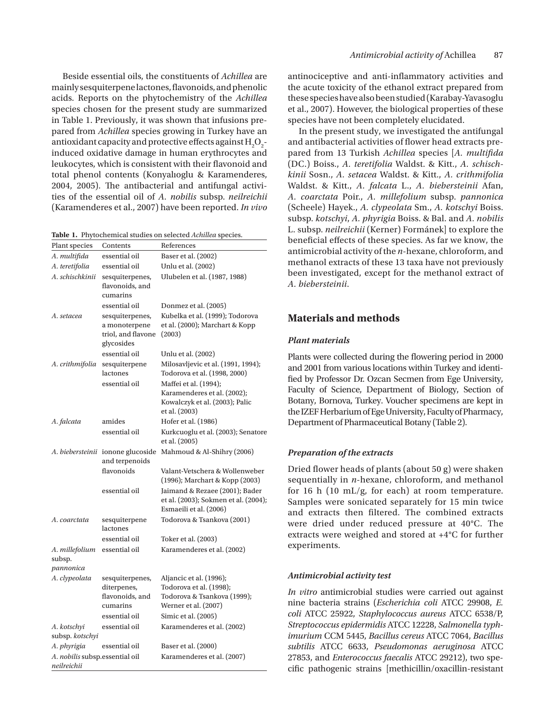Beside essential oils, the constituents of *Achillea* are mainly sesquiterpene lactones, flavonoids, and phenolic acids. Reports on the phytochemistry of the *Achillea* species chosen for the present study are summarized in Table 1. Previously, it was shown that infusions prepared from *Achillea* species growing in Turkey have an antioxidant capacity and protective effects against  $\rm H_2O_2$ induced oxidative damage in human erythrocytes and leukocytes, which is consistent with their flavonoid and total phenol contents (Konyalıoglu & Karamenderes, 2004, 2005). The antibacterial and antifungal activities of the essential oil of *A. nobilis* subsp. *neilreichii* (Karamenderes et al., 2007) have been reported. *In vivo*

**Table 1.** Phytochemical studies on selected *Achillea* species.

| Plant species                                 | Contents                                                             | References                                                                                              |
|-----------------------------------------------|----------------------------------------------------------------------|---------------------------------------------------------------------------------------------------------|
| A. multifida                                  | essential oil                                                        | Baser et al. (2002)                                                                                     |
| A. teretifolia                                | essential oil                                                        | Unlu et al. (2002)                                                                                      |
| A. schischkinii                               | sesquiterpenes,<br>flavonoids, and<br>cumarins                       | Ulubelen et al. (1987, 1988)                                                                            |
|                                               | essential oil                                                        | Donmez et al. (2005)                                                                                    |
| A. setacea                                    | sesquiterpenes,<br>a monoterpene<br>triol, and flavone<br>glycosides | Kubelka et al. (1999); Todorova<br>et al. (2000); Marchart & Kopp<br>(2003)                             |
|                                               | essential oil                                                        | Unlu et al. (2002)                                                                                      |
| A. crithmifolia                               | sesquiterpene                                                        | Milosavljevic et al. (1991, 1994);                                                                      |
|                                               | lactones                                                             | Todorova et al. (1998, 2000)                                                                            |
|                                               | essential oil                                                        | Maffei et al. (1994);<br>Karamenderes et al. (2002);<br>Kowalczyk et al. (2003); Palic<br>et al. (2003) |
| A. falcata                                    | amides                                                               | Hofer et al. (1986)                                                                                     |
|                                               | essential oil                                                        | Kurkcuoglu et al. (2003); Senatore<br>et al. (2005)                                                     |
|                                               | A. biebersteinii ionone glucoside<br>and terpenoids                  | Mahmoud & Al-Shihry (2006)                                                                              |
|                                               | flavonoids                                                           | Valant-Vetschera & Wollenweber<br>(1996); Marchart & Kopp (2003)                                        |
|                                               | essential oil                                                        | Jaimand & Rezaee (2001); Bader<br>et al. (2003); Sokmen et al. (2004);<br>Esmaeili et al. (2006)        |
| A. coarctata                                  | sesquiterpene<br>lactones                                            | Todorova & Tsankova (2001)                                                                              |
|                                               | essential oil                                                        | Toker et al. (2003)                                                                                     |
| A. millefolium<br>subsp.<br>pannonica         | essential oil                                                        | Karamenderes et al. (2002)                                                                              |
| A. clypeolata                                 | sesquiterpenes,                                                      | Aljancic et al. (1996);                                                                                 |
|                                               | diterpenes,                                                          | Todorova et al. (1998);                                                                                 |
|                                               | flavonoids, and                                                      | Todorova & Tsankova (1999);                                                                             |
|                                               | cumarins                                                             | Werner et al. (2007)                                                                                    |
|                                               | essential oil                                                        | Simic et al. (2005)                                                                                     |
| A. kotschyi<br>subsp. kotschyi                | essential oil                                                        | Karamenderes et al. (2002)                                                                              |
| A. phyrigia                                   | essential oil                                                        | Baser et al. (2000)                                                                                     |
| A. nobilis subsp.essential oil<br>neilreichii |                                                                      | Karamenderes et al. (2007)                                                                              |

antinociceptive and anti-inflammatory activities and the acute toxicity of the ethanol extract prepared from these species have also been studied (Karabay-Yavasoglu et al., 2007). However, the biological properties of these species have not been completely elucidated.

In the present study, we investigated the antifungal and antibacterial activities of flower head extracts prepared from 13 Turkish *Achillea* species [*A. multifida* (DC.) Boiss., *A. teretifolia* Waldst. & Kitt., *A. schischkinii* Sosn., *A. setacea* Waldst. & Kitt., *A. crithmifolia* Waldst. & Kitt., *A. falcata* L., *A. biebersteinii* Afan, *A. coarctata* Poir., *A. millefolium* subsp. *pannonica* (Scheele) Hayek., *A. clypeolata* Sm., *A. kotschyi* Boiss. subsp. *kotschyi*, *A. phyrigia* Boiss. & Bal. and *A. nobilis* L. subsp. *neilreichii* (Kerner) Formánek] to explore the beneficial effects of these species. As far we know, the antimicrobial activity of the *n*-hexane, chloroform, and methanol extracts of these 13 taxa have not previously been investigated, except for the methanol extract of *A. biebersteinii*.

# **Materials and methods**

## *Plant materials*

Plants were collected during the flowering period in 2000 and 2001 from various locations within Turkey and identified by Professor Dr. Ozcan Secmen from Ege University, Faculty of Science, Department of Biology, Section of Botany, Bornova, Turkey. Voucher specimens are kept in the IZEF Herbarium of Ege University, Faculty of Pharmacy, Department of Pharmaceutical Botany ([Table 2](#page-2-0)).

## *Preparation of the extracts*

Dried flower heads of plants (about 50 g) were shaken sequentially in *n*-hexane, chloroform, and methanol for 16 h (10 mL/g, for each) at room temperature. Samples were sonicated separately for 15 min twice and extracts then filtered. The combined extracts were dried under reduced pressure at 40°C. The extracts were weighed and stored at +4°C for further experiments.

#### *Antimicrobial activity test*

*In vitro* antimicrobial studies were carried out against nine bacteria strains (*Escherichia coli* ATCC 29908, *E. coli* ATCC 25922, *Staphylococcus aureus* ATCC 6538/P, *Streptococcus epidermidis* ATCC 12228, *Salmonella typhimurium* CCM 5445, *Bacillus cereus* ATCC 7064, *Bacillus subtilis* ATCC 6633, *Pseudomonas aeruginosa* ATCC 27853, and *Enterococcus faecalis* ATCC 29212), two specific pathogenic strains [methicillin/oxacillin-resistant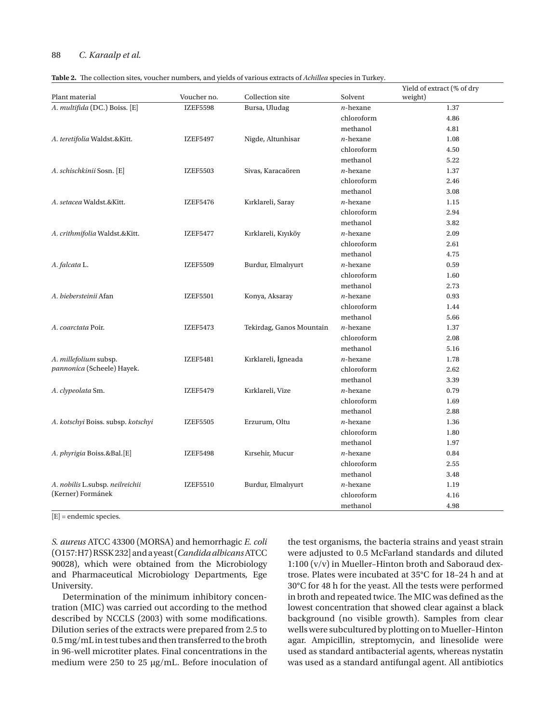## <span id="page-2-0"></span>88 *C. Karaalp et al.*

|  |  |  | Table 2. The collection sites, voucher numbers, and yields of various extracts of Achillea species in Turkey. |  |  |
|--|--|--|---------------------------------------------------------------------------------------------------------------|--|--|
|--|--|--|---------------------------------------------------------------------------------------------------------------|--|--|

|                                    |                 |                          |             | Yield of extract (% of dry |
|------------------------------------|-----------------|--------------------------|-------------|----------------------------|
| Plant material                     | Voucher no.     | Collection site          | Solvent     | weight)                    |
| A. multifida (DC.) Boiss. [E]      | <b>IZEF5598</b> | Bursa, Uludag            | $n$ -hexane | 1.37                       |
|                                    |                 |                          | chloroform  | 4.86                       |
|                                    |                 |                          | methanol    | 4.81                       |
| A. teretifolia Waldst.&Kitt.       | <b>IZEF5497</b> | Nigde, Altunhisar        | $n$ -hexane | 1.08                       |
|                                    |                 |                          | chloroform  | 4.50                       |
|                                    |                 |                          | methanol    | 5.22                       |
| A. schischkinii Sosn. [E]          | <b>IZEF5503</b> | Sivas, Karacaören        | $n$ -hexane | 1.37                       |
|                                    |                 |                          | chloroform  | 2.46                       |
|                                    |                 |                          | methanol    | 3.08                       |
| A. setacea Waldst.&Kitt.           | <b>IZEF5476</b> | Kırklareli, Saray        | $n$ -hexane | 1.15                       |
|                                    |                 |                          | chloroform  | 2.94                       |
|                                    |                 |                          | methanol    | 3.82                       |
| A. crithmifolia Waldst.&Kitt.      | <b>IZEF5477</b> | Kırklareli, Kıyıköy      | $n$ -hexane | 2.09                       |
|                                    |                 |                          | chloroform  | 2.61                       |
|                                    |                 |                          | methanol    | 4.75                       |
| A. falcata L.                      | <b>IZEF5509</b> | Burdur, Elmalıyurt       | $n$ -hexane | 0.59                       |
|                                    |                 |                          | chloroform  | 1.60                       |
|                                    |                 |                          | methanol    | 2.73                       |
| A. biebersteinii Afan              | <b>IZEF5501</b> | Konya, Aksaray           | $n$ -hexane | 0.93                       |
|                                    |                 |                          | chloroform  | 1.44                       |
|                                    |                 |                          | methanol    | 5.66                       |
| A. coarctata Poir.                 | <b>IZEF5473</b> | Tekirdag, Ganos Mountain | $n$ -hexane | 1.37                       |
|                                    |                 |                          | chloroform  | 2.08                       |
|                                    |                 |                          | methanol    | 5.16                       |
| A. millefolium subsp.              | <b>IZEF5481</b> | Kırklareli, İgneada      | $n$ -hexane | 1.78                       |
| pannonica (Scheele) Hayek.         |                 |                          | chloroform  | 2.62                       |
|                                    |                 |                          | methanol    | 3.39                       |
| A. clypeolata Sm.                  | <b>IZEF5479</b> | Kırklareli, Vize         | $n$ -hexane | 0.79                       |
|                                    |                 |                          | chloroform  | 1.69                       |
|                                    |                 |                          | methanol    | 2.88                       |
| A. kotschyi Boiss. subsp. kotschyi | <b>IZEF5505</b> | Erzurum, Oltu            | $n$ -hexane | 1.36                       |
|                                    |                 |                          | chloroform  | 1.80                       |
|                                    |                 |                          | methanol    | 1.97                       |
| A. phyrigia Boiss.&Bal.[E]         | <b>IZEF5498</b> | Kırsehir, Mucur          | $n$ -hexane | 0.84                       |
|                                    |                 |                          | chloroform  | 2.55                       |
|                                    |                 |                          | methanol    | 3.48                       |
| A. nobilis L.subsp. neilreichii    | <b>IZEF5510</b> | Burdur, Elmalıyurt       | $n$ -hexane | 1.19                       |
| (Kerner) Formánek                  |                 |                          | chloroform  | 4.16                       |
|                                    |                 |                          | methanol    | 4.98                       |

[E] = endemic species.

*S. aureus* ATCC 43300 (MORSA) and hemorrhagic *E. coli* (O157:H7) RSSK 232] and a yeast (*Candida albicans* ATCC 90028), which were obtained from the Microbiology and Pharmaceutical Microbiology Departments, Ege University.

Determination of the minimum inhibitory concentration (MIC) was carried out according to the method described by NCCLS (2003) with some modifications. Dilution series of the extracts were prepared from 2.5 to 0.5 mg/mL in test tubes and then transferred to the broth in 96-well microtiter plates. Final concentrations in the medium were 250 to 25 µg/mL. Before inoculation of

the test organisms, the bacteria strains and yeast strain were adjusted to 0.5 McFarland standards and diluted 1:100 (v/v) in Mueller–Hinton broth and Saboraud dextrose. Plates were incubated at 35°C for 18–24 h and at 30°C for 48 h for the yeast. All the tests were performed in broth and repeated twice. The MIC was defined as the lowest concentration that showed clear against a black background (no visible growth). Samples from clear wells were subcultured by plotting on to Mueller–Hinton agar. Ampicillin, streptomycin, and linesolide were used as standard antibacterial agents, whereas nystatin was used as a standard antifungal agent. All antibiotics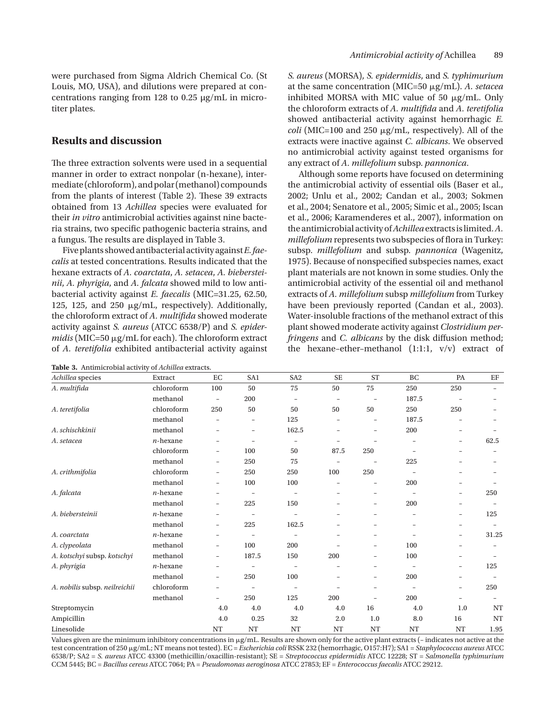were purchased from Sigma Aldrich Chemical Co. (St Louis, MO, USA), and dilutions were prepared at concentrations ranging from 128 to 0.25 µg/mL in microtiter plates.

# **Results and discussion**

The three extraction solvents were used in a sequential manner in order to extract nonpolar (n-hexane), intermediate (chloroform), and polar (methanol) compounds from the plants of interest ([Table 2\)](#page-2-0). These 39 extracts obtained from 13 *Achillea* species were evaluated for their *in vitro* antimicrobial activities against nine bacteria strains, two specific pathogenic bacteria strains, and a fungus. The results are displayed in Table 3.

Five plants showed antibacterial activity against *E. faecalis* at tested concentrations. Results indicated that the hexane extracts of *A. coarctata*, *A. setacea*, *A. biebersteinii*, *A. phyrigia*, and *A. falcata* showed mild to low antibacterial activity against *E. faecalis* (MIC=31.25, 62.50, 125, 125, and 250  $\mu$ g/mL, respectively). Additionally, the chloroform extract of *A. multifida* showed moderate activity against *S. aureus* (ATCC 6538/P) and *S. epider* $midis$  (MIC=50  $\mu$ g/mL for each). The chloroform extract of *A. teretifolia* exhibited antibacterial activity against

| <b>Table 3.</b> Antimicrobial activity of <i>Achillea</i> extracts. |
|---------------------------------------------------------------------|
|---------------------------------------------------------------------|

*S. aureus* (MORSA), *S. epidermidis*, and *S. typhimurium* at the same concentration (MIC=50 g/mL). *A. setacea* inhibited MORSA with MIC value of 50  $\mu$ g/mL. Only the chloroform extracts of *A. multifida* and *A. teretifolia* showed antibacterial activity against hemorrhagic *E.*   $\frac{coll}{MIC=100}$  and 250  $\mu$ g/mL, respectively). All of the extracts were inactive against *C. albicans*. We observed no antimicrobial activity against tested organisms for any extract of *A. millefolium* subsp. *pannonica*.

Although some reports have focused on determining the antimicrobial activity of essential oils (Baser et al., 2002; Unlu et al., 2002; Candan et al., 2003; Sokmen et al., 2004; Senatore et al., 2005; Simic et al., 2005; Iscan et al., 2006; Karamenderes et al., 2007), information on the antimicrobial activity of *Achillea* extracts is limited. *A. millefolium* represents two subspecies of flora in Turkey: subsp. *millefolium* and subsp. *pannonica* (Wagenitz, 1975). Because of nonspecified subspecies names, exact plant materials are not known in some studies. Only the antimicrobial activity of the essential oil and methanol extracts of *A. millefolium* subsp *millefolium* from Turkey have been previously reported (Candan et al., 2003). Water-insoluble fractions of the methanol extract of this plant showed moderate activity against *Clostridium perfringens* and *C. albicans* by the disk diffusion method; the hexane–ether–methanol (1:1:1, v/v) extract of

| Achillea species              | Extract     | EC                       | SA1                      | SA <sub>2</sub>          | <b>SE</b>                | <b>ST</b>                | <b>BC</b>                | PA                       | EF                       |
|-------------------------------|-------------|--------------------------|--------------------------|--------------------------|--------------------------|--------------------------|--------------------------|--------------------------|--------------------------|
| A. multifida                  | chloroform  | 100                      | 50                       | 75                       | 50                       | 75                       | 250                      | 250                      | -                        |
|                               | methanol    | $\overline{\phantom{a}}$ | 200                      | $\qquad \qquad -$        | $\overline{\phantom{a}}$ | $\overline{\phantom{a}}$ | 187.5                    |                          |                          |
| A. teretifolia                | chloroform  | 250                      | 50                       | 50                       | 50                       | 50                       | 250                      | 250                      |                          |
|                               | methanol    |                          | -                        | 125                      |                          | $\qquad \qquad -$        | 187.5                    |                          |                          |
| A. schischkinii               | methanol    |                          | ۰                        | 162.5                    | $\overline{\phantom{a}}$ | ۰                        | 200                      | -                        |                          |
| A. setacea                    | $n$ -hexane |                          | ۰                        | $\qquad \qquad -$        | ۰                        |                          | ۰                        | $\overline{\phantom{0}}$ | 62.5                     |
|                               | chloroform  | $\overline{\phantom{a}}$ | 100                      | 50                       | 87.5                     | 250                      | $\overline{a}$           | $\overline{\phantom{0}}$ |                          |
|                               | methanol    | $\overline{\phantom{a}}$ | 250                      | 75                       | $\qquad \qquad -$        |                          | 225                      |                          |                          |
| A. crithmifolia               | chloroform  | $\overline{\phantom{a}}$ | 250                      | 250                      | 100                      | 250                      |                          | -                        |                          |
|                               | methanol    | $\overline{\phantom{a}}$ | 100                      | 100                      | $\overline{\phantom{a}}$ |                          | 200                      | -                        |                          |
| A. falcata                    | $n$ -hexane | $\overline{\phantom{a}}$ | $\overline{\phantom{0}}$ | $\qquad \qquad -$        | $\overline{\phantom{a}}$ | $\overline{a}$           | $\overline{a}$           | $\overline{\phantom{0}}$ | 250                      |
|                               | methanol    | -                        | 225                      | 150                      |                          | $\overline{a}$           | 200                      | -                        |                          |
| A. biebersteinii              | $n$ -hexane | $\overline{\phantom{m}}$ | $\overline{\phantom{a}}$ | $\overline{a}$           |                          | $\overline{a}$           | ۰                        | -                        | 125                      |
|                               | methanol    | $\overline{\phantom{0}}$ | 225                      | 162.5                    |                          |                          |                          | -                        |                          |
| A. coarctata                  | $n$ -hexane | $\overline{\phantom{a}}$ | $\overline{\phantom{0}}$ | ۰                        |                          | $\overline{\phantom{0}}$ | ۰                        | -                        | 31.25                    |
| A. clypeolata                 | methanol    | -                        | 100                      | 200                      |                          | $\overline{\phantom{0}}$ | 100                      | $\overline{\phantom{0}}$ |                          |
| A. kotschyi subsp. kotschyi   | methanol    | $\overline{\phantom{a}}$ | 187.5                    | 150                      | 200                      | $\overline{\phantom{0}}$ | 100                      | -                        |                          |
| A. phyrigia                   | $n$ -hexane | -                        | $\qquad \qquad -$        | $\overline{\phantom{0}}$ |                          | -                        | $\overline{\phantom{a}}$ | -                        | 125                      |
|                               | methanol    | $\overline{\phantom{a}}$ | 250                      | 100                      | ۰                        | -                        | 200                      | -                        |                          |
| A. nobilis subsp. neilreichii | chloroform  | -                        | $\overline{\phantom{a}}$ | $\overline{a}$           |                          |                          | $\overline{a}$           | -                        | 250                      |
|                               | methanol    | $\overline{\phantom{a}}$ | 250                      | 125                      | 200                      | $\overline{\phantom{a}}$ | 200                      | Ξ.                       | $\overline{\phantom{a}}$ |
| Streptomycin                  |             | 4.0                      | 4.0                      | 4.0                      | 4.0                      | 16                       | 4.0                      | 1.0                      | NT                       |
| Ampicillin                    |             | 4.0                      | 0.25                     | 32                       | 2.0                      | 1.0                      | 8.0                      | 16                       | NT                       |
| Linesolide                    |             | NT                       | NT                       | NT                       | NT                       | NT                       | NT                       | NT                       | 1.95                     |

Values given are the minimum inhibitory concentrations in  $\mu$ g/mL. Results are shown only for the active plant extracts (- indicates not active at the test concentration of 250 μg/mL; NT means not tested). EC = *Escherichia coli* RSSK 232 (hemorrhagic, O157:H7); SA1 = *Staphylococcus aureus* ATCC 6538/P; SA2 = *S. aureus* ATCC 43300 (methicillin/oxacillin-resistant); SE = *Streptococcus epidermidis* ATCC 12228; ST = *Salmonella typhimurium* CCM 5445; BC = *Bacillus cereus* ATCC 7064; PA = *Pseudomonas aeroginosa* ATCC 27853; EF = *Enterococcus faecalis* ATCC 29212.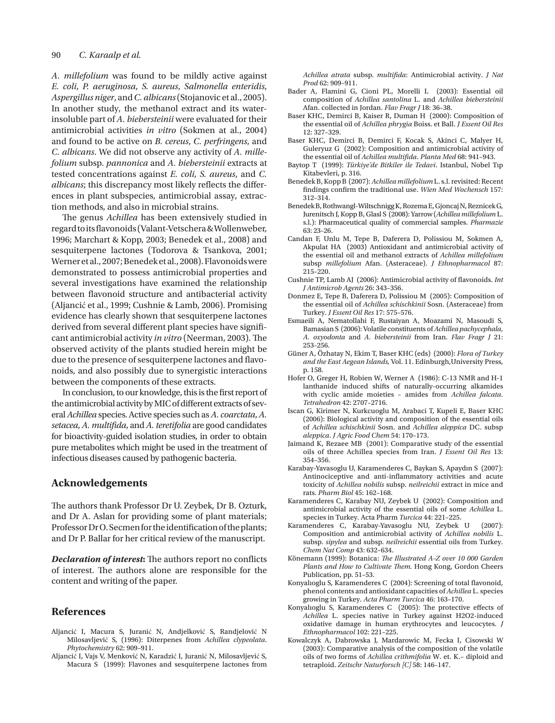## 90 *C. Karaalp et al.*

*A. millefolium* was found to be mildly active against *E. coli*, *P. aeruginosa*, *S. aureus*, *Salmonella enteridis*, *Aspergillus niger*, and *C. albicans* (Stojanovic et al., 2005). In another study, the methanol extract and its waterinsoluble part of *A. biebersteinii* were evaluated for their antimicrobial activities *in vitro* (Sokmen at al., 2004) and found to be active on *B. cereus*, *C. perfringens*, and *C. albicans*. We did not observe any activity of *A. millefolium* subsp. *pannonica* and *A. biebersteinii* extracts at tested concentrations against *E. coli*, *S. aureus*, and *C. albicans*; this discrepancy most likely reflects the differences in plant subspecies, antimicrobial assay, extraction methods, and also in microbial strains.

The genus *Achillea* has been extensively studied in regard to its flavonoids (Valant-Vetschera & Wollenweber, 1996; Marchart & Kopp, 2003; Benedek et al., 2008) and sesquiterpene lactones (Todorova & Tsankova, 2001; Werner etal., 2007; Benedek etal., 2008). Flavonoids were demonstrated to possess antimicrobial properties and several investigations have examined the relationship between flavonoid structure and antibacterial activity (Aljancić et al., 1999; Cushnie & Lamb, 2006). Promising evidence has clearly shown that sesquiterpene lactones derived from several different plant species have significant antimicrobial activity *in vitro* (Neerman, 2003). The observed activity of the plants studied herein might be due to the presence of sesquiterpene lactones and flavonoids, and also possibly due to synergistic interactions between the components of these extracts.

In conclusion, to our knowledge, this is the first report of the antimicrobial activity by MIC of different extracts of several *Achillea* species. Active species such as *A. coarctata*, *A. setacea*, *A. multifida*, and *A. teretifolia* are good candidates for bioactivity-guided isolation studies, in order to obtain pure metabolites which might be used in the treatment of infectious diseases caused by pathogenic bacteria.

# **Acknowledgements**

The authors thank Professor Dr U. Zeybek, Dr B. Ozturk, and Dr A. Aslan for providing some of plant materials; Professor Dr O. Secmen for the identification of the plants; and Dr P. Ballar for her critical review of the manuscript.

*Declaration of interest***:** The authors report no conflicts of interest. The authors alone are responsible for the content and writing of the paper.

## **References**

- Aljancić I, Macura S, Juranić N, Andjelković S, Randjelović N Milosavljević S, (1996): Diterpenes from *Achillea clypeolata*. *Phytochemistry* 62: 909–911.
- Aljancić I, Vajs V, Menković N, Karadzić I, Juranić N, Milosavljević S, Macura S (1999): Flavones and sesquiterpene lactones from

*Achillea atrata* subsp. *multifida*: Antimicrobial activity. *J Nat Prod* 62: 909–911.

- Bader A, Flamini G, Cioni PL, Morelli L (2003): Essential oil composition of *Achillea santolina* L. and *Achillea biebersteinii*  Afan. collected in Jordan. *Flav Fragr J* 18: 36–38.
- Baser KHC, Demirci B, Kaiser R, Duman H (2000): Composition of the essential oil of *Achillea phrygia* Boiss. et Ball. *J Essent Oil Res* 12: 327–329.
- Baser KHC, Demirci B, Demirci F, Kocak S, Akinci C, Malyer H, Guleryuz G (2002): Composition and antimicrobial activity of the essential oil of *Achillea multifida*. *Planta Med* 68: 941–943.
- Baytop T (1999): *Türkiye'de Bitkiler ile Tedavi*. Istanbul, Nobel Tıp Kitabevleri, p. 316.
- Benedek B, Kopp B (2007): *Achillea millefolium* L. s.l. revisited: Recent findings confirm the traditional use. *Wien Med Wochensch* 157: 312–314.
- Benedek B, Rothwangl-Wiltschnigg K, Rozema E, Gjoncaj N, ReznicekG, Jurenitsch J, Kopp B, Glasl S (2008): Yarrow (*Achillea millefolium* L. s.l.): Pharmaceutical quality of commercial samples. *Pharmazie* 63: 23–26.
- Candan F, Unlu M, Tepe B, Daferera D, Polissiou M, Sokmen A, Akpulat HA (2003) Antioxidant and antimicrobial activity of the essential oil and methanol extracts of *Achillea millefolium*  subsp *millefolium* Afan. (Asteraceae). *J Ethnopharmacol* 87: 215–220.
- Cushnie TP, Lamb AJ (2006): Antimicrobial activity of flavonoids. *Int J Antimicrob Agents* 26: 343–356.
- Donmez E, Tepe B, Daferera D, Polissiou M (2005): Composition of the essential oil of *Achillea schischkinii* Sosn. (Asteraceae) from Turkey. *J Essent Oil Res* 17: 575–576.
- Esmaeili A, Nematollahi F, Rustaiyan A, Moazami N, Masoudi S, Bamasian S (2006): Volatile constituents of *Achillea pachycephala, A. oxyodonta* and *A. biebersteinii* from Iran. *Flav Fragr J* 21: 253–256.
- Güner A, Özhatay N, Ekim T, Baser KHC (eds) (2000): *Flora of Turkey and the East Aegean Islands,* Vol. 11. Edinburgh,University Press, p. 158.
- Hofer O, Greger H, Robien W, Werner A (1986): C-13 NMR and H-1 lanthanide induced shifts of naturally-occurring alkamides with cyclic amide moieties – amides from *Achillea falcata*. *Tetrahedron* 42: 2707–2716.
- Iscan G, Kirimer N, Kurkcuoglu M, Arabaci T, Kupeli E, Baser KHC (2006): Biological activity and composition of the essential oils of *Achillea schischkinii* Sosn. and *Achillea aleppica* DC. subsp *aleppica*. *J Agric Food Chem* 54: 170–173.
- Jaimand K, Rezaee MB (2001): Comparative study of the essential oils of three Achillea species from Iran. *J Essent Oil Res* 13: 354–356.
- Karabay-Yavasoglu U, Karamenderes C, Baykan S, Apaydın S (2007): Antinociceptive and anti-inflammatory activities and acute toxicity of *Achillea nobilis* subsp. *neilreichii* extract in mice and rats. *Pharm Biol* 45: 162–168.
- Karamenderes C, Karabay NU, Zeybek U (2002): Composition and antimicrobial activity of the essential oils of some *Achillea* L. species in Turkey. Acta Pharm *Turcica* 44: 221–225.
- Karamenderes C, Karabay-Yavasoglu NU, Zeybek U (2007): Composition and antimicrobial activity of *Achillea nobilis* L. subsp. *sipylea* and subsp. *neilreichii* essential oils from Turkey. *Chem Nat Comp* 43: 632–634.
- Könemann (1999): Botanica: *The Illustrated A–Z over 10 000 Garden Plants and How to Cultivate Them.* Hong Kong, Gordon Cheers Publication, pp. 51–53.
- Konyalıoglu S, Karamenderes C (2004): Screening of total flavonoid, phenol contents and antioxidant capacities of *Achillea* L. species growing in Turkey. *Acta Pharm Turcica* 46: 163–170.
- Konyalıoglu S, Karamenderes C (2005): The protective effects of *Achillea* L. species native in Turkey against H2O2-induced oxidative damage in human erythrocytes and leucocytes. *J Ethnopharmacol* 102: 221–225.
- Kowalczyk A, Dabrowska J, Mardarowic M, Fecka I, Cisowski W (2003): Comparative analysis of the composition of the volatile oils of two forms of *Achillea crithmifolia* W. et. K.– diploid and tetraploid. *Zeitschr Naturforsch [C]* 58: 146–147.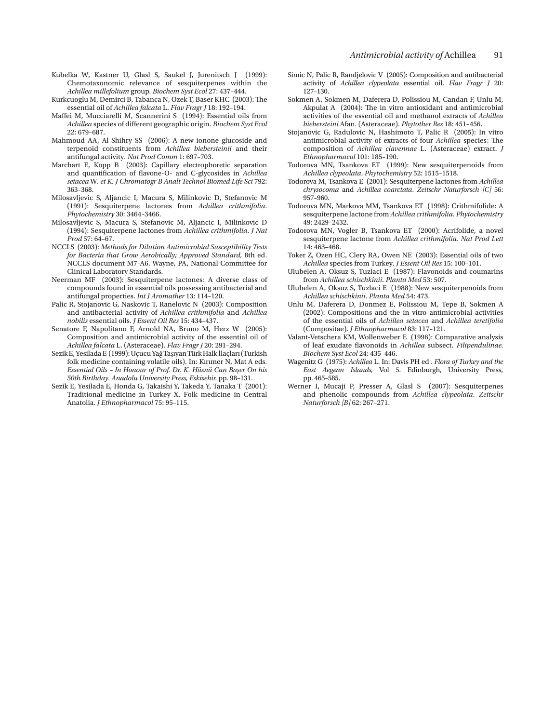- Kubelka W, Kastner U, Glasl S, Saukel J, Jurenitsch J (1999): Chemotaxonomic relevance of sesquiterpenes within the *Achillea millefolium* group. *Biochem Syst Ecol* 27: 437–444.
- Kurkcuoglu M, Demirci B, Tabanca N, Ozek T, Baser KHC (2003): The essential oil of *Achillea falcata* L. *Flav Fragr J* 18: 192–194.
- Maffei M, Mucciarelli M, Scannerini S (1994): Essential oils from *Achillea* species of different geographic origin. *Biochem Syst Ecol* 22: 679–687.
- Mahmoud AA, Al-Shihry SS (2006): A new ionone glucoside and terpenoid constituents from *Achillea biebersteinii* and their antifungal activity. *Nat Prod Comm* 1: 697–703.
- Marchart E, Kopp B (2003): Capillary electrophoretic separation and quantification of flavone-O- and C-glycosides in *Achillea setacea* W. *et K. J Chromatogr B Analt Technol Biomed Life Sci* 792: 363–368.
- Milosavljevic S, Aljancic I, Macura S, Milinkovic D, Stefanovic M (1991): Sesquiterpene lactones from *Achillea crithmifolia*. *Phytochemistry* 30: 3464–3466.
- Milosavljevic S, Macura S, Stefanovic M, Aljancic I, Milinkovic D (1994): Sesquiterpene lactones from *Achillea crithmifolia*. *J Nat Prod* 57: 64–67.
- NCCLS (2003): *Methods for Dilution Antimicrobial Susceptibility Tests for Bacteria that Grow Aerobically; Approved Standard,* 8th ed. NCCLS document M7-A6. Wayne, PA, National Committee for Clinical Laboratory Standards.
- Neerman MF (2003): Sesquiterpene lactones: A diverse class of compounds found in essential oils possessing antibacterial and antifungal properties. *Int J Aromather* 13: 114–120.
- Palic R, Stojanovic G, Naskovic T, Ranelovic N (2003): Composition and antibacterial activity of *Achillea crithmifolia* and *Achillea nobilis* essential oils. *J Essent Oil Res* 15: 434–437.
- Senatore F, Napolitano F, Arnold NA, Bruno M, Herz W (2005): Composition and antimicrobial activity of the essential oil of *Achillea falcata* L. (Asteraceae). *Flav Fragr J* 20: 291–294.
- Sezik E, Yesilada E (1999): Uçucu Yağ Taşıyan Türk Halk İlaçları (Turkish folk medicine containing volatile oils). In: Kırımer N, Mat A eds. *Essential Oils – In Honour of Prof. Dr. K. Hüsnü Can Başer On his 50th Birthday. Anadolu University Press, Eskisehir.* pp. 98–131.
- Sezik E, Yesilada E, Honda G, Takaishi Y, Takeda Y, Tanaka T (2001): Traditional medicine in Turkey X. Folk medicine in Central Anatolia. *J Ethnopharmacol* 75: 95–115.
- Simic N, Palic R, Randjelovic V (2005): Composition and antibacterial activity of *Achillea clypeolata* essential oil. *Flav Fragr J* 20: 127–130.
- Sokmen A, Sokmen M, Daferera D, Polissiou M, Candan F, Unlu M, Akpulat A (2004): The in vitro antioxidant and antimicrobial activities of the essential oil and methanol extracts of *Achillea biebersteini* Afan. (Asteraceae). *Phytother Res* 18: 451–456.
- Stojanovic G, Radulovic N, Hashimoto T, Palic R (2005): In vitro antimicrobial activity of extracts of four *Achillea* species: The composition of *Achillea clavennae* L. (Asteraceae) extract. *J Ethnopharmacol* 101: 185–190.
- Todorova MN, Tsankova ET (1999): New sesquiterpenoids from *Achillea clypeolata*. *Phytochemistry* 52: 1515–1518.
- Todorova M, Tsankova E (2001): Sesquiterpene lactones from *Achillea chrysocoma* and *Achillea coarctata*. *Zeitschr Naturforsch [C]* 56: 957–960.
- Todorova MN, Markova MM, Tsankova ET (1998): Crithmifolide: A sesquiterpene lactone from *Achillea crithmifolia*. *Phytochemistry* 49: 2429–2432.
- Todorova MN, Vogler B, Tsankova ET (2000): Acrifolide, a novel sesquiterpene lactone from *Achillea crithmifolia*. *Nat Prod Lett* 14: 463–468.
- Toker Z, Ozen HC, Clery RA, Owen NE (2003): Essential oils of two *Achillea* species from Turkey. *J Essent Oil Res* 15: 100–101.
- Ulubelen A, Oksuz S, Tuzlaci E (1987): Flavonoids and coumarins from *Achillea schischkinii*. *Planta Med* 53: 507.
- Ulubelen A, Oksuz S, Tuzlaci E (1988): New sesquiterpenoids from *Achillea schischkinii*. *Planta Med* 54: 473.
- Unlu M, Daferera D, Donmez E, Polissiou M, Tepe B, Sokmen A (2002): Compositions and the in vitro antimicrobial activities of the essential oils of *Achillea setacea* and *Achillea teretifolia*  (Compositae). *J Ethnopharmacol* 83: 117–121.
- Valant-Vetschera KM, Wollenweber E (1996): Comparative analysis of leaf exudate flavonoids in *Achillea* subsect. *Filipendulinae. Biochem Syst Ecol* 24: 435–446.
- Wagenitz G (1975): *Achillea* L. In: Davis PH ed . *Flora of Turkey and the East Aegean Islands,* Vol 5. Edinburgh, University Press, pp. 465–585.
- Werner I, Mucaji P, Presser A, Glasl S (2007): Sesquiterpenes and phenolic compounds from *Achillea clypeolata*. *Zeitschr Naturforsch [B]* 62: 267–271.